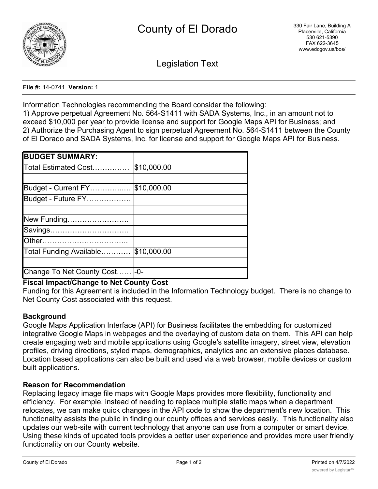

Legislation Text

**File #:** 14-0741, **Version:** 1

Information Technologies recommending the Board consider the following:

1) Approve perpetual Agreement No. 564-S1411 with SADA Systems, Inc., in an amount not to exceed \$10,000 per year to provide license and support for Google Maps API for Business; and 2) Authorize the Purchasing Agent to sign perpetual Agreement No. 564-S1411 between the County of El Dorado and SADA Systems, Inc. for license and support for Google Maps API for Business.

| <b>BUDGET SUMMARY:</b>    |             |
|---------------------------|-------------|
| Total Estimated Cost      | \$10,000.00 |
|                           |             |
| Budget - Current FY       | \$10,000.00 |
| Budget - Future FY        |             |
|                           |             |
| New Funding               |             |
| Savings                   |             |
|                           |             |
| Total Funding Available   | \$10,000.00 |
|                           |             |
| Change To Net County Cost | -0-         |

# **Fiscal Impact/Change to Net County Cost**

Funding for this Agreement is included in the Information Technology budget. There is no change to Net County Cost associated with this request.

# **Background**

Google Maps Application Interface (API) for Business facilitates the embedding for customized integrative Google Maps in webpages and the overlaying of custom data on them. This API can help create engaging web and mobile applications using Google's satellite imagery, street view, elevation profiles, driving directions, styled maps, demographics, analytics and an extensive places database. Location based applications can also be built and used via a web browser, mobile devices or custom built applications.

# **Reason for Recommendation**

Replacing legacy image file maps with Google Maps provides more flexibility, functionality and efficiency. For example, instead of needing to replace multiple static maps when a department relocates, we can make quick changes in the API code to show the department's new location. This functionality assists the public in finding our county offices and services easily. This functionality also updates our web-site with current technology that anyone can use from a computer or smart device. Using these kinds of updated tools provides a better user experience and provides more user friendly functionality on our County website.